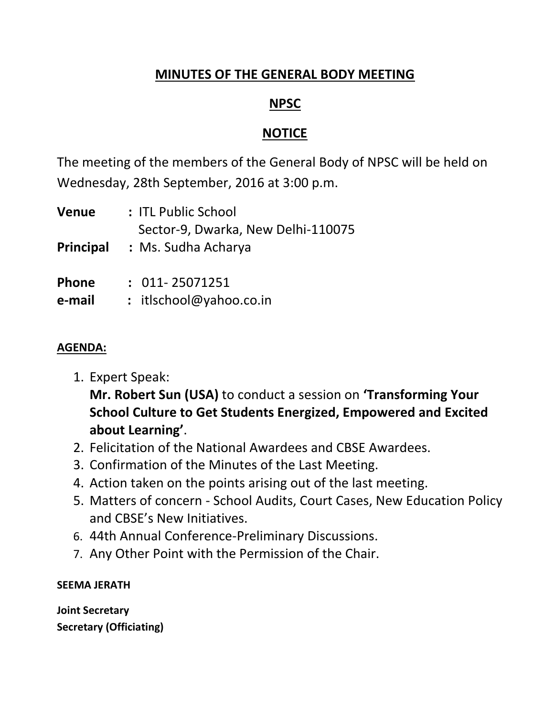## **MINUTES OF THE GENERAL BODY MEETING**

# **NPSC**

# **NOTICE**

The meeting of the members of the General Body of NPSC will be held on Wednesday, 28th September, 2016 at 3:00 p.m.

| Venue     | : ITL Public School                                       |
|-----------|-----------------------------------------------------------|
| Principal | Sector-9, Dwarka, New Delhi-110075<br>: Ms. Sudha Acharya |
| Phone     | $: 011 - 25071251$                                        |
| e-mail    | : itlschool@yahoo.co.in                                   |

## **AGENDA:**

- 1. Expert Speak: **Mr. Robert Sun (USA)** to conduct a session on **'Transforming Your School Culture to Get Students Energized, Empowered and Excited about Learning'**.
- 2. Felicitation of the National Awardees and CBSE Awardees.
- 3. Confirmation of the Minutes of the Last Meeting.
- 4. Action taken on the points arising out of the last meeting.
- 5. Matters of concern School Audits, Court Cases, New Education Policy and CBSE's New Initiatives.
- 6. 44th Annual Conference-Preliminary Discussions.
- 7. Any Other Point with the Permission of the Chair.

## **SEEMA JERATH**

**Joint Secretary Secretary (Officiating)**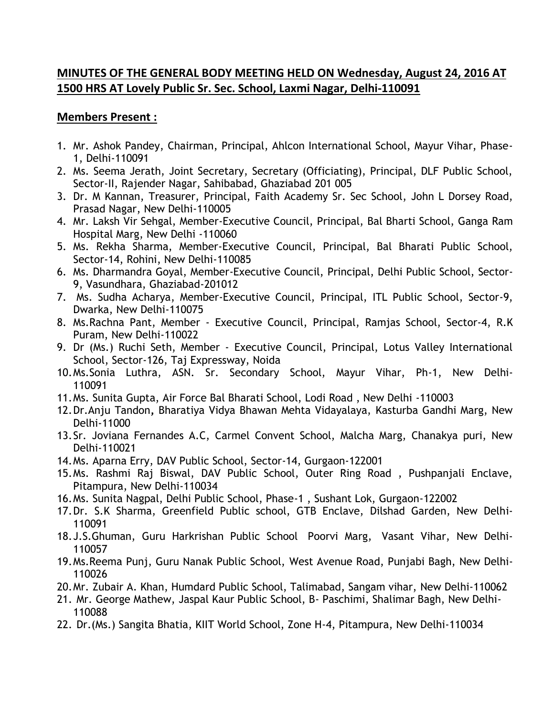#### **MINUTES OF THE GENERAL BODY MEETING HELD ON Wednesday, August 24, 2016 AT 1500 HRS AT Lovely Public Sr. Sec. School, Laxmi Nagar, Delhi-110091**

#### **Members Present :**

- 1. Mr. Ashok Pandey, Chairman, Principal, Ahlcon International School, Mayur Vihar, Phase-1, Delhi-110091
- 2. Ms. Seema Jerath, Joint Secretary, Secretary (Officiating), Principal, DLF Public School, Sector-II, Rajender Nagar, Sahibabad, Ghaziabad 201 005
- 3. Dr. M Kannan, Treasurer, Principal, Faith Academy Sr. Sec School, John L Dorsey Road, Prasad Nagar, New Delhi-110005
- 4. Mr. Laksh Vir Sehgal, Member-Executive Council, Principal, Bal Bharti School, Ganga Ram Hospital Marg, New Delhi -110060
- 5. Ms. Rekha Sharma, Member-Executive Council, Principal, Bal Bharati Public School, Sector-14, Rohini, New Delhi-110085
- 6. Ms. Dharmandra Goyal, Member-Executive Council, Principal, Delhi Public School, Sector-9, Vasundhara, Ghaziabad-201012
- 7. Ms. Sudha Acharya, Member-Executive Council, Principal, ITL Public School, Sector-9, Dwarka, New Delhi-110075
- 8. Ms.Rachna Pant, Member Executive Council, Principal, Ramjas School, Sector-4, R.K Puram, New Delhi-110022
- 9. Dr (Ms.) Ruchi Seth, Member Executive Council, Principal, Lotus Valley International School, Sector-126, Taj Expressway, Noida
- 10.Ms.Sonia Luthra, ASN. Sr. Secondary School, Mayur Vihar, Ph-1, New Delhi-110091
- 11.Ms. Sunita Gupta, [Air Force Bal Bharati School, Lodi Road , New Delhi -110003](http://schools.globalshiksha.com/Air-Force-Bal-Bharati-School-AFBBS-/619302985346075)
- 12.Dr.Anju Tandon**,** Bharatiya Vidya Bhawan Mehta Vidayalaya, Kasturba Gandhi Marg, New Delhi-11000
- 13.Sr. Joviana Fernandes A.C, Carmel Convent School, Malcha Marg, Chanakya puri, New Delhi-110021
- 14.Ms. Aparna Erry, DAV Public School, Sector-14, Gurgaon-122001
- 15.Ms. Rashmi Raj Biswal, DAV Public School, Outer Ring Road , Pushpanjali Enclave, Pitampura, New Delhi-110034
- 16.Ms. Sunita Nagpal, Delhi Public School, Phase-1 , Sushant Lok, Gurgaon-122002
- 17.Dr. S.K Sharma, Greenfield Public school, GTB Enclave, Dilshad Garden, New Delhi-110091
- 18.J.S.Ghuman, Guru Harkrishan Public School Poorvi Marg, Vasant Vihar, New Delhi-110057
- 19.Ms.Reema Punj, Guru Nanak Public School, West Avenue Road, Punjabi Bagh, New Delhi-110026
- 20.Mr. Zubair A. Khan, Humdard Public School, Talimabad, Sangam vihar, New Delhi-110062
- 21. Mr. George Mathew, Jaspal Kaur Public School, B- Paschimi, Shalimar Bagh, New Delhi-110088
- 22. Dr.(Ms.) Sangita Bhatia, KIIT World School, Zone H-4, Pitampura, New Delhi-110034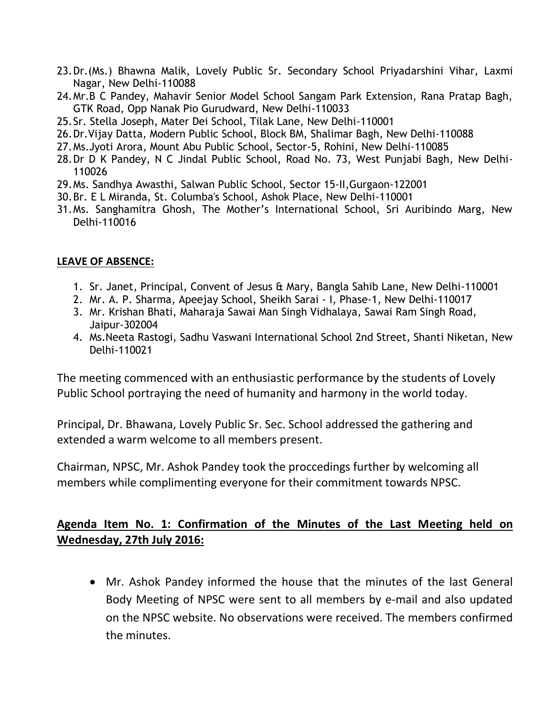- 23.Dr.(Ms.) Bhawna Malik, Lovely Public Sr. Secondary School Priyadarshini Vihar, Laxmi Nagar, New Delhi-110088
- 24.Mr.B C Pandey, Mahavir Senior Model School Sangam Park Extension, Rana Pratap Bagh, GTK Road, Opp Nanak Pio Gurudward, New Delhi-110033
- 25.Sr. Stella Joseph, Mater Dei School, Tilak Lane, New Delhi-110001
- 26.Dr.Vijay Datta, Modern Public School, Block BM, Shalimar Bagh, New Delhi-110088
- 27.Ms.Jyoti Arora, Mount Abu Public School, Sector-5, Rohini, New Delhi-110085
- 28.Dr D K Pandey, N C Jindal Public School, Road No. 73, West Punjabi Bagh, New Delhi-110026
- 29.Ms. Sandhya Awasthi, Salwan Public School, Sector 15-II,Gurgaon-122001
- 30.Br. E L Miranda, St. Columba's School, Ashok Place, New Delhi-110001
- 31.Ms. Sanghamitra Ghosh, The Mother's International School, Sri Auribindo Marg, New Delhi-110016

#### **LEAVE OF ABSENCE:**

- 1. Sr. Janet, Principal, Convent of Jesus & Mary, Bangla Sahib Lane, New Delhi-110001
- 2. Mr. A. P. Sharma, Apeejay School, Sheikh Sarai I, Phase-1, New Delhi-110017
- 3. Mr. Krishan Bhati, Maharaja Sawai Man Singh Vidhalaya, Sawai Ram Singh Road, Jaipur-302004
- 4. Ms.Neeta Rastogi, Sadhu Vaswani International School 2nd Street, Shanti Niketan, New Delhi-110021

The meeting commenced with an enthusiastic performance by the students of Lovely Public School portraying the need of humanity and harmony in the world today.

Principal, Dr. Bhawana, Lovely Public Sr. Sec. School addressed the gathering and extended a warm welcome to all members present.

Chairman, NPSC, Mr. Ashok Pandey took the proccedings further by welcoming all members while complimenting everyone for their commitment towards NPSC.

### **Agenda Item No. 1: Confirmation of the Minutes of the Last Meeting held on Wednesday, 27th July 2016:**

 Mr. Ashok Pandey informed the house that the minutes of the last General Body Meeting of NPSC were sent to all members by e-mail and also updated on the NPSC website. No observations were received. The members confirmed the minutes.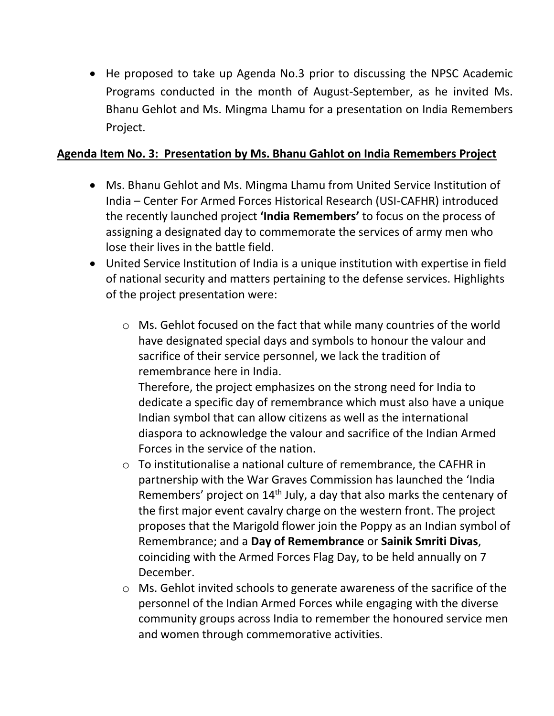He proposed to take up Agenda No.3 prior to discussing the NPSC Academic Programs conducted in the month of August-September, as he invited Ms. Bhanu Gehlot and Ms. Mingma Lhamu for a presentation on India Remembers Project.

#### **Agenda Item No. 3: Presentation by Ms. Bhanu Gahlot on India Remembers Project**

- Ms. Bhanu Gehlot and Ms. Mingma Lhamu from United Service Institution of India – Center For Armed Forces Historical Research (USI-CAFHR) introduced the recently launched project **'India Remembers'** to focus on the process of assigning a designated day to commemorate the services of army men who lose their lives in the battle field.
- United Service Institution of India is a unique institution with expertise in field of national security and matters pertaining to the defense services. Highlights of the project presentation were:
	- o Ms. Gehlot focused on the fact that while many countries of the world have designated special days and symbols to honour the valour and sacrifice of their service personnel, we lack the tradition of remembrance here in India.

Therefore, the project emphasizes on the strong need for India to dedicate a specific day of remembrance which must also have a unique Indian symbol that can allow citizens as well as the international diaspora to acknowledge the valour and sacrifice of the Indian Armed Forces in the service of the nation.

- o To institutionalise a national culture of remembrance, the CAFHR in partnership with the War Graves Commission has launched the 'India Remembers' project on 14<sup>th</sup> July, a day that also marks the centenary of the first major event cavalry charge on the western front. The project proposes that the Marigold flower join the Poppy as an Indian symbol of Remembrance; and a **Day of Remembrance** or **Sainik Smriti Divas**, coinciding with the Armed Forces Flag Day, to be held annually on 7 December.
- o Ms. Gehlot invited schools to generate awareness of the sacrifice of the personnel of the Indian Armed Forces while engaging with the diverse community groups across India to remember the honoured service men and women through commemorative activities.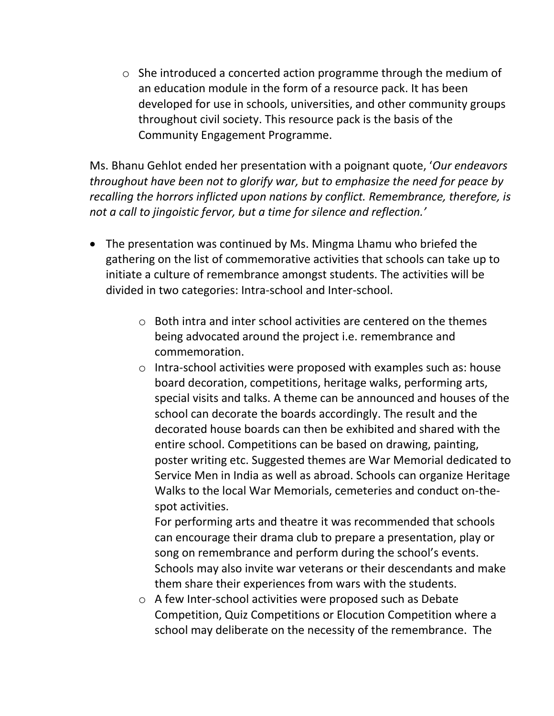o She introduced a concerted action programme through the medium of an education module in the form of a resource pack. It has been developed for use in schools, universities, and other community groups throughout civil society. This resource pack is the basis of the Community Engagement Programme.

Ms. Bhanu Gehlot ended her presentation with a poignant quote, '*Our endeavors throughout have been not to glorify war, but to emphasize the need for peace by recalling the horrors inflicted upon nations by conflict. Remembrance, therefore, is not a call to jingoistic fervor, but a time for silence and reflection.'* 

- The presentation was continued by Ms. Mingma Lhamu who briefed the gathering on the list of commemorative activities that schools can take up to initiate a culture of remembrance amongst students. The activities will be divided in two categories: Intra-school and Inter-school.
	- $\circ$  Both intra and inter school activities are centered on the themes being advocated around the project i.e. remembrance and commemoration.
	- o Intra-school activities were proposed with examples such as: house board decoration, competitions, heritage walks, performing arts, special visits and talks. A theme can be announced and houses of the school can decorate the boards accordingly. The result and the decorated house boards can then be exhibited and shared with the entire school. Competitions can be based on drawing, painting, poster writing etc. Suggested themes are War Memorial dedicated to Service Men in India as well as abroad. Schools can organize Heritage Walks to the local War Memorials, cemeteries and conduct on-thespot activities.

For performing arts and theatre it was recommended that schools can encourage their drama club to prepare a presentation, play or song on remembrance and perform during the school's events. Schools may also invite war veterans or their descendants and make them share their experiences from wars with the students.

o A few Inter-school activities were proposed such as Debate Competition, Quiz Competitions or Elocution Competition where a school may deliberate on the necessity of the remembrance. The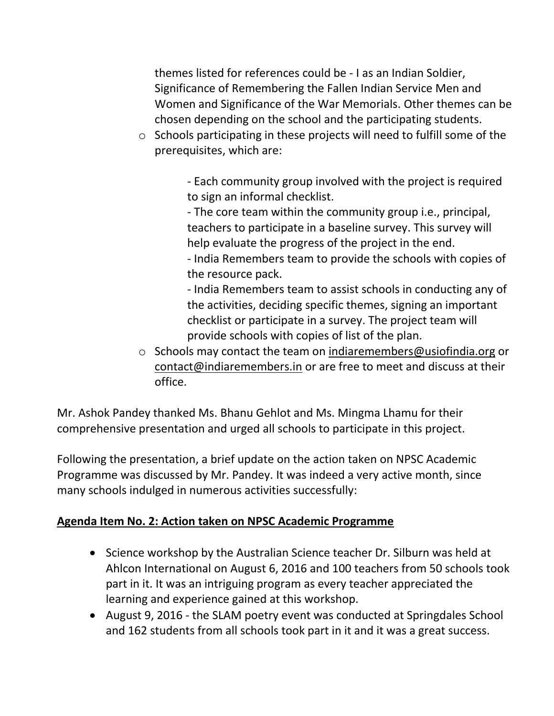themes listed for references could be - I as an Indian Soldier, Significance of Remembering the Fallen Indian Service Men and Women and Significance of the War Memorials. Other themes can be chosen depending on the school and the participating students.

o Schools participating in these projects will need to fulfill some of the prerequisites, which are:

> - Each community group involved with the project is required to sign an informal checklist.

- The core team within the community group i.e., principal, teachers to participate in a baseline survey. This survey will help evaluate the progress of the project in the end.

- India Remembers team to provide the schools with copies of the resource pack.

- India Remembers team to assist schools in conducting any of the activities, deciding specific themes, signing an important checklist or participate in a survey. The project team will provide schools with copies of list of the plan.

o Schools may contact the team on indiaremembers@usiofindia.org or [contact@indiaremembers.in](mailto:contact@indiaremembers.in) or are free to meet and discuss at their office.

Mr. Ashok Pandey thanked Ms. Bhanu Gehlot and Ms. Mingma Lhamu for their comprehensive presentation and urged all schools to participate in this project.

Following the presentation, a brief update on the action taken on NPSC Academic Programme was discussed by Mr. Pandey. It was indeed a very active month, since many schools indulged in numerous activities successfully:

## **Agenda Item No. 2: Action taken on NPSC Academic Programme**

- Science workshop by the Australian Science teacher Dr. Silburn was held at Ahlcon International on August 6, 2016 and 100 teachers from 50 schools took part in it. It was an intriguing program as every teacher appreciated the learning and experience gained at this workshop.
- August 9, 2016 the SLAM poetry event was conducted at Springdales School and 162 students from all schools took part in it and it was a great success.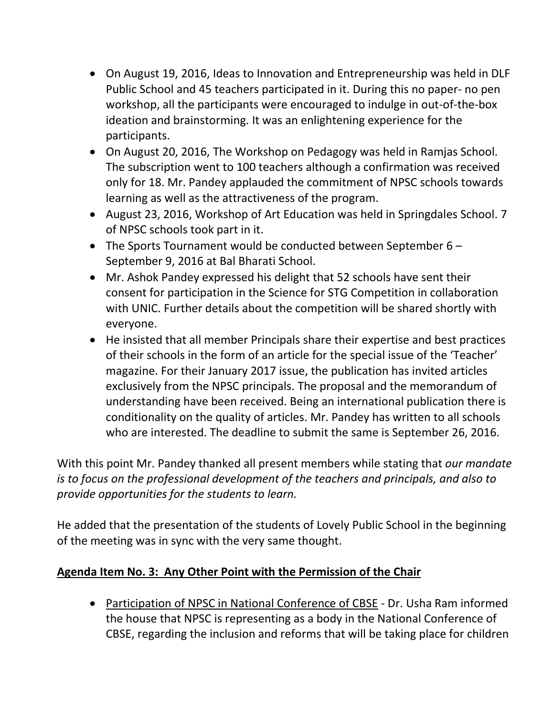- On August 19, 2016, Ideas to Innovation and Entrepreneurship was held in DLF Public School and 45 teachers participated in it. During this no paper- no pen workshop, all the participants were encouraged to indulge in out-of-the-box ideation and brainstorming. It was an enlightening experience for the participants.
- On August 20, 2016, The Workshop on Pedagogy was held in Ramjas School. The subscription went to 100 teachers although a confirmation was received only for 18. Mr. Pandey applauded the commitment of NPSC schools towards learning as well as the attractiveness of the program.
- August 23, 2016, Workshop of Art Education was held in Springdales School. 7 of NPSC schools took part in it.
- The Sports Tournament would be conducted between September 6 September 9, 2016 at Bal Bharati School.
- Mr. Ashok Pandey expressed his delight that 52 schools have sent their consent for participation in the Science for STG Competition in collaboration with UNIC. Further details about the competition will be shared shortly with everyone.
- He insisted that all member Principals share their expertise and best practices of their schools in the form of an article for the special issue of the 'Teacher' magazine. For their January 2017 issue, the publication has invited articles exclusively from the NPSC principals. The proposal and the memorandum of understanding have been received. Being an international publication there is conditionality on the quality of articles. Mr. Pandey has written to all schools who are interested. The deadline to submit the same is September 26, 2016.

With this point Mr. Pandey thanked all present members while stating that *our mandate is to focus on the professional development of the teachers and principals, and also to provide opportunities for the students to learn.*

He added that the presentation of the students of Lovely Public School in the beginning of the meeting was in sync with the very same thought.

### **Agenda Item No. 3: Any Other Point with the Permission of the Chair**

 Participation of NPSC in National Conference of CBSE - Dr. Usha Ram informed the house that NPSC is representing as a body in the National Conference of CBSE, regarding the inclusion and reforms that will be taking place for children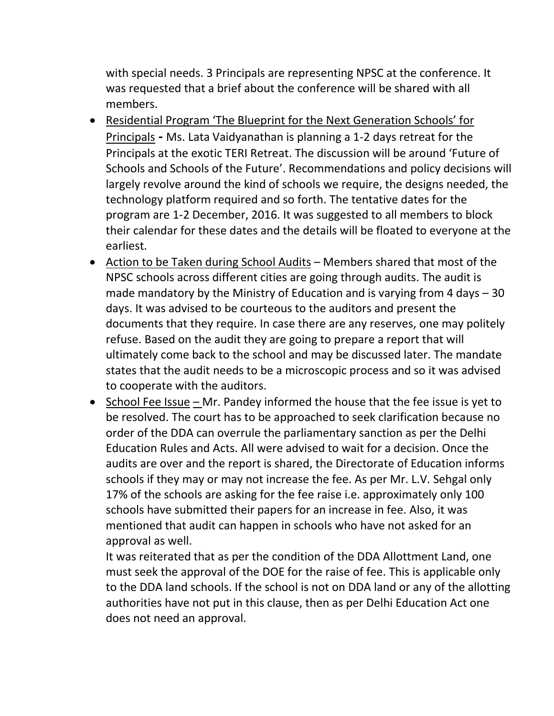with special needs. 3 Principals are representing NPSC at the conference. It was requested that a brief about the conference will be shared with all members.

- Residential Program 'The Blueprint for the Next Generation Schools' for Principals **-** Ms. Lata Vaidyanathan is planning a 1-2 days retreat for the Principals at the exotic TERI Retreat. The discussion will be around 'Future of Schools and Schools of the Future'. Recommendations and policy decisions will largely revolve around the kind of schools we require, the designs needed, the technology platform required and so forth. The tentative dates for the program are 1-2 December, 2016. It was suggested to all members to block their calendar for these dates and the details will be floated to everyone at the earliest.
- Action to be Taken during School Audits Members shared that most of the NPSC schools across different cities are going through audits. The audit is made mandatory by the Ministry of Education and is varying from 4 days – 30 days. It was advised to be courteous to the auditors and present the documents that they require. In case there are any reserves, one may politely refuse. Based on the audit they are going to prepare a report that will ultimately come back to the school and may be discussed later. The mandate states that the audit needs to be a microscopic process and so it was advised to cooperate with the auditors.
- School Fee Issue Mr. Pandey informed the house that the fee issue is yet to be resolved. The court has to be approached to seek clarification because no order of the DDA can overrule the parliamentary sanction as per the Delhi Education Rules and Acts. All were advised to wait for a decision. Once the audits are over and the report is shared, the Directorate of Education informs schools if they may or may not increase the fee. As per Mr. L.V. Sehgal only 17% of the schools are asking for the fee raise i.e. approximately only 100 schools have submitted their papers for an increase in fee. Also, it was mentioned that audit can happen in schools who have not asked for an approval as well.

It was reiterated that as per the condition of the DDA Allottment Land, one must seek the approval of the DOE for the raise of fee. This is applicable only to the DDA land schools. If the school is not on DDA land or any of the allotting authorities have not put in this clause, then as per Delhi Education Act one does not need an approval.